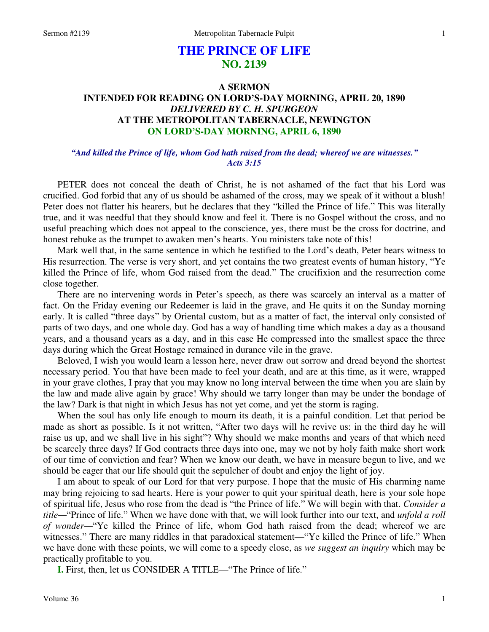# **THE PRINCE OF LIFE NO. 2139**

## **A SERMON INTENDED FOR READING ON LORD'S-DAY MORNING, APRIL 20, 1890**  *DELIVERED BY C. H. SPURGEON*  **AT THE METROPOLITAN TABERNACLE, NEWINGTON ON LORD'S-DAY MORNING, APRIL 6, 1890**

### *"And killed the Prince of life, whom God hath raised from the dead; whereof we are witnesses." Acts 3:15*

PETER does not conceal the death of Christ, he is not ashamed of the fact that his Lord was crucified. God forbid that any of us should be ashamed of the cross, may we speak of it without a blush! Peter does not flatter his hearers, but he declares that they "killed the Prince of life." This was literally true, and it was needful that they should know and feel it. There is no Gospel without the cross, and no useful preaching which does not appeal to the conscience, yes, there must be the cross for doctrine, and honest rebuke as the trumpet to awaken men's hearts. You ministers take note of this!

 Mark well that, in the same sentence in which he testified to the Lord's death, Peter bears witness to His resurrection. The verse is very short, and yet contains the two greatest events of human history, "Ye killed the Prince of life, whom God raised from the dead." The crucifixion and the resurrection come close together.

 There are no intervening words in Peter's speech, as there was scarcely an interval as a matter of fact. On the Friday evening our Redeemer is laid in the grave, and He quits it on the Sunday morning early. It is called "three days" by Oriental custom, but as a matter of fact, the interval only consisted of parts of two days, and one whole day. God has a way of handling time which makes a day as a thousand years, and a thousand years as a day, and in this case He compressed into the smallest space the three days during which the Great Hostage remained in durance vile in the grave.

 Beloved, I wish you would learn a lesson here, never draw out sorrow and dread beyond the shortest necessary period. You that have been made to feel your death, and are at this time, as it were, wrapped in your grave clothes, I pray that you may know no long interval between the time when you are slain by the law and made alive again by grace! Why should we tarry longer than may be under the bondage of the law? Dark is that night in which Jesus has not yet come, and yet the storm is raging.

 When the soul has only life enough to mourn its death, it is a painful condition. Let that period be made as short as possible. Is it not written, "After two days will he revive us: in the third day he will raise us up, and we shall live in his sight"? Why should we make months and years of that which need be scarcely three days? If God contracts three days into one, may we not by holy faith make short work of our time of conviction and fear? When we know our death, we have in measure begun to live, and we should be eager that our life should quit the sepulcher of doubt and enjoy the light of joy.

 I am about to speak of our Lord for that very purpose. I hope that the music of His charming name may bring rejoicing to sad hearts. Here is your power to quit your spiritual death, here is your sole hope of spiritual life, Jesus who rose from the dead is "the Prince of life." We will begin with that. *Consider a title—*"Prince of life." When we have done with that, we will look further into our text, and *unfold a roll of wonder—*"Ye killed the Prince of life, whom God hath raised from the dead; whereof we are witnesses." There are many riddles in that paradoxical statement—"Ye killed the Prince of life." When we have done with these points, we will come to a speedy close, as *we suggest an inquiry* which may be practically profitable to you.

**I.** First, then, let us CONSIDER A TITLE—"The Prince of life."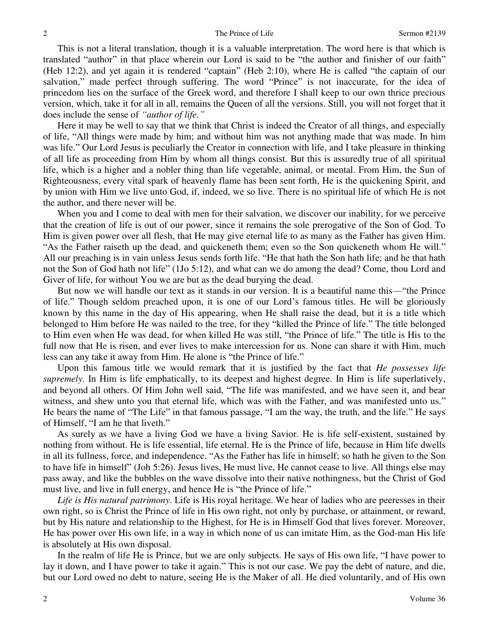This is not a literal translation, though it is a valuable interpretation. The word here is that which is translated "author" in that place wherein our Lord is said to be "the author and finisher of our faith" (Heb 12:2), and yet again it is rendered "captain" (Heb 2:10), where He is called "the captain of our salvation," made perfect through suffering. The word "Prince" is not inaccurate, for the idea of princedom lies on the surface of the Greek word, and therefore I shall keep to our own thrice precious version, which, take it for all in all, remains the Queen of all the versions. Still, you will not forget that it does include the sense of *"author of life."*

 Here it may be well to say that we think that Christ is indeed the Creator of all things, and especially of life, "All things were made by him; and without him was not anything made that was made. In him was life." Our Lord Jesus is peculiarly the Creator in connection with life, and I take pleasure in thinking of all life as proceeding from Him by whom all things consist. But this is assuredly true of all spiritual life, which is a higher and a nobler thing than life vegetable, animal, or mental. From Him, the Sun of Righteousness, every vital spark of heavenly flame has been sent forth, He is the quickening Spirit, and by union with Him we live unto God, if, indeed, we so live. There is no spiritual life of which He is not the author, and there never will be.

When you and I come to deal with men for their salvation, we discover our inability, for we perceive that the creation of life is out of our power, since it remains the sole prerogative of the Son of God. To Him is given power over all flesh, that He may give eternal life to as many as the Father has given Him. "As the Father raiseth up the dead, and quickeneth them; even so the Son quickeneth whom He will." All our preaching is in vain unless Jesus sends forth life. "He that hath the Son hath life; and he that hath not the Son of God hath not life" (1Jo 5:12), and what can we do among the dead? Come, thou Lord and Giver of life, for without You we are but as the dead burying the dead.

 But now we will handle our text as it stands in our version. It is a beautiful name this—"the Prince of life." Though seldom preached upon, it is one of our Lord's famous titles. He will be gloriously known by this name in the day of His appearing, when He shall raise the dead, but it is a title which belonged to Him before He was nailed to the tree, for they "killed the Prince of life." The title belonged to Him even when He was dead, for when killed He was still, "the Prince of life." The title is His to the full now that He is risen, and ever lives to make intercession for us. None can share it with Him, much less can any take it away from Him. He alone is "the Prince of life."

 Upon this famous title we would remark that it is justified by the fact that *He possesses life supremely*. In Him is life emphatically, to its deepest and highest degree. In Him is life superlatively, and beyond all others. Of Him John well said, "The life was manifested, and we have seen it, and bear witness, and shew unto you that eternal life, which was with the Father, and was manifested unto us." He bears the name of "The Life" in that famous passage, "I am the way, the truth, and the life." He says of Himself, "I am he that liveth."

 As surely as we have a living God we have a living Savior. He is life self-existent, sustained by nothing from without. He is life essential, life eternal. He is the Prince of life, because in Him life dwells in all its fullness, force, and independence. "As the Father has life in himself; so hath he given to the Son to have life in himself" (Joh 5:26). Jesus lives, He must live, He cannot cease to live. All things else may pass away, and like the bubbles on the wave dissolve into their native nothingness, but the Christ of God must live, and live in full energy, and hence He is "the Prince of life."

*Life is His natural patrimony*. Life is His royal heritage. We hear of ladies who are peeresses in their own right, so is Christ the Prince of life in His own right, not only by purchase, or attainment, or reward, but by His nature and relationship to the Highest, for He is in Himself God that lives forever. Moreover, He has power over His own life, in a way in which none of us can imitate Him, as the God-man His life is absolutely at His own disposal.

 In the realm of life He is Prince, but we are only subjects. He says of His own life, "I have power to lay it down, and I have power to take it again." This is not our case. We pay the debt of nature, and die, but our Lord owed no debt to nature, seeing He is the Maker of all. He died voluntarily, and of His own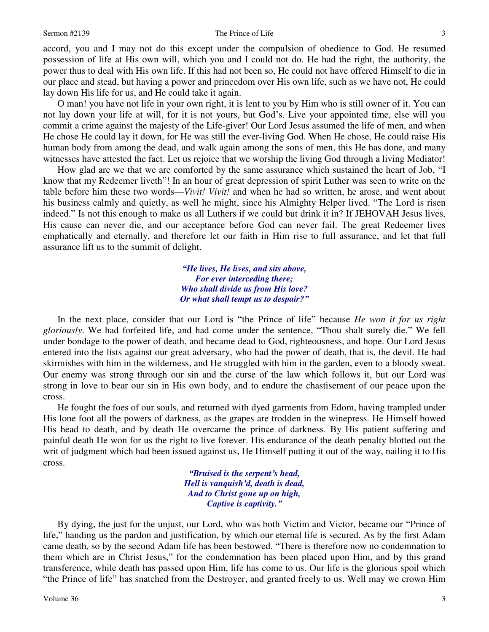#### Sermon #2139 The Prince of Life

accord, you and I may not do this except under the compulsion of obedience to God. He resumed possession of life at His own will, which you and I could not do. He had the right, the authority, the power thus to deal with His own life. If this had not been so, He could not have offered Himself to die in our place and stead, but having a power and princedom over His own life, such as we have not, He could lay down His life for us, and He could take it again.

O man! you have not life in your own right, it is lent to you by Him who is still owner of it. You can not lay down your life at will, for it is not yours, but God's. Live your appointed time, else will you commit a crime against the majesty of the Life-giver! Our Lord Jesus assumed the life of men, and when He chose He could lay it down, for He was still the ever-living God. When He chose, He could raise His human body from among the dead, and walk again among the sons of men, this He has done, and many witnesses have attested the fact. Let us rejoice that we worship the living God through a living Mediator!

 How glad are we that we are comforted by the same assurance which sustained the heart of Job, "I know that my Redeemer liveth"! In an hour of great depression of spirit Luther was seen to write on the table before him these two words—*Vivit! Vivit!* and when he had so written, he arose, and went about his business calmly and quietly, as well he might, since his Almighty Helper lived. "The Lord is risen indeed." Is not this enough to make us all Luthers if we could but drink it in? If JEHOVAH Jesus lives, His cause can never die, and our acceptance before God can never fail. The great Redeemer lives emphatically and eternally, and therefore let our faith in Him rise to full assurance, and let that full assurance lift us to the summit of delight.

> *"He lives, He lives, and sits above, For ever interceding there; Who shall divide us from His love? Or what shall tempt us to despair?"*

In the next place, consider that our Lord is "the Prince of life" because *He won it for us right gloriously*. We had forfeited life, and had come under the sentence, "Thou shalt surely die." We fell under bondage to the power of death, and became dead to God, righteousness, and hope. Our Lord Jesus entered into the lists against our great adversary, who had the power of death, that is, the devil. He had skirmishes with him in the wilderness, and He struggled with him in the garden, even to a bloody sweat. Our enemy was strong through our sin and the curse of the law which follows it, but our Lord was strong in love to bear our sin in His own body, and to endure the chastisement of our peace upon the cross.

 He fought the foes of our souls, and returned with dyed garments from Edom, having trampled under His lone foot all the powers of darkness, as the grapes are trodden in the winepress. He Himself bowed His head to death, and by death He overcame the prince of darkness. By His patient suffering and painful death He won for us the right to live forever. His endurance of the death penalty blotted out the writ of judgment which had been issued against us, He Himself putting it out of the way, nailing it to His cross.

> *"Bruised is the serpent's head, Hell is vanquish'd, death is dead, And to Christ gone up on high, Captive is captivity."*

By dying, the just for the unjust, our Lord, who was both Victim and Victor, became our "Prince of life," handing us the pardon and justification, by which our eternal life is secured. As by the first Adam came death, so by the second Adam life has been bestowed. "There is therefore now no condemnation to them which are in Christ Jesus," for the condemnation has been placed upon Him, and by this grand transference, while death has passed upon Him, life has come to us. Our life is the glorious spoil which "the Prince of life" has snatched from the Destroyer, and granted freely to us. Well may we crown Him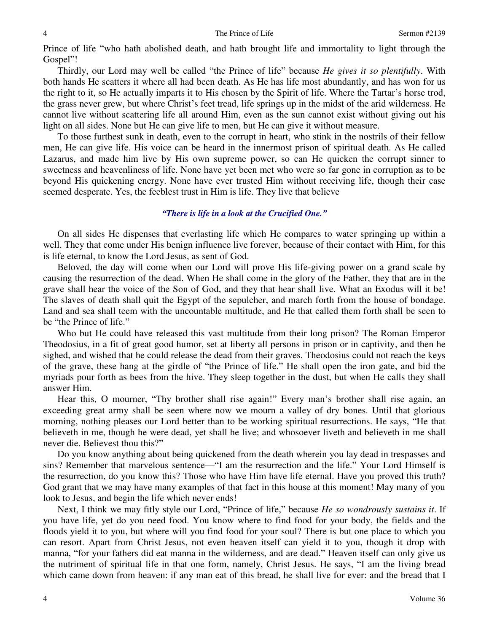Prince of life "who hath abolished death, and hath brought life and immortality to light through the Gospel"!

 Thirdly, our Lord may well be called "the Prince of life" because *He gives it so plentifully*. With both hands He scatters it where all had been death. As He has life most abundantly, and has won for us the right to it, so He actually imparts it to His chosen by the Spirit of life. Where the Tartar's horse trod, the grass never grew, but where Christ's feet tread, life springs up in the midst of the arid wilderness. He cannot live without scattering life all around Him, even as the sun cannot exist without giving out his light on all sides. None but He can give life to men, but He can give it without measure.

 To those furthest sunk in death, even to the corrupt in heart, who stink in the nostrils of their fellow men, He can give life. His voice can be heard in the innermost prison of spiritual death. As He called Lazarus, and made him live by His own supreme power, so can He quicken the corrupt sinner to sweetness and heavenliness of life. None have yet been met who were so far gone in corruption as to be beyond His quickening energy. None have ever trusted Him without receiving life, though their case seemed desperate. Yes, the feeblest trust in Him is life. They live that believe

#### *"There is life in a look at the Crucified One."*

 On all sides He dispenses that everlasting life which He compares to water springing up within a well. They that come under His benign influence live forever, because of their contact with Him, for this is life eternal, to know the Lord Jesus, as sent of God.

 Beloved, the day will come when our Lord will prove His life-giving power on a grand scale by causing the resurrection of the dead. When He shall come in the glory of the Father, they that are in the grave shall hear the voice of the Son of God, and they that hear shall live. What an Exodus will it be! The slaves of death shall quit the Egypt of the sepulcher, and march forth from the house of bondage. Land and sea shall teem with the uncountable multitude, and He that called them forth shall be seen to be "the Prince of life."

 Who but He could have released this vast multitude from their long prison? The Roman Emperor Theodosius, in a fit of great good humor, set at liberty all persons in prison or in captivity, and then he sighed, and wished that he could release the dead from their graves. Theodosius could not reach the keys of the grave, these hang at the girdle of "the Prince of life." He shall open the iron gate, and bid the myriads pour forth as bees from the hive. They sleep together in the dust, but when He calls they shall answer Him.

Hear this, O mourner, "Thy brother shall rise again!" Every man's brother shall rise again, an exceeding great army shall be seen where now we mourn a valley of dry bones. Until that glorious morning, nothing pleases our Lord better than to be working spiritual resurrections. He says, "He that believeth in me, though he were dead, yet shall he live; and whosoever liveth and believeth in me shall never die. Believest thou this?"

 Do you know anything about being quickened from the death wherein you lay dead in trespasses and sins? Remember that marvelous sentence—"I am the resurrection and the life." Your Lord Himself is the resurrection, do you know this? Those who have Him have life eternal. Have you proved this truth? God grant that we may have many examples of that fact in this house at this moment! May many of you look to Jesus, and begin the life which never ends!

 Next, I think we may fitly style our Lord, "Prince of life," because *He so wondrously sustains it*. If you have life, yet do you need food. You know where to find food for your body, the fields and the floods yield it to you, but where will you find food for your soul? There is but one place to which you can resort. Apart from Christ Jesus, not even heaven itself can yield it to you, though it drop with manna, "for your fathers did eat manna in the wilderness, and are dead." Heaven itself can only give us the nutriment of spiritual life in that one form, namely, Christ Jesus. He says, "I am the living bread which came down from heaven: if any man eat of this bread, he shall live for ever: and the bread that I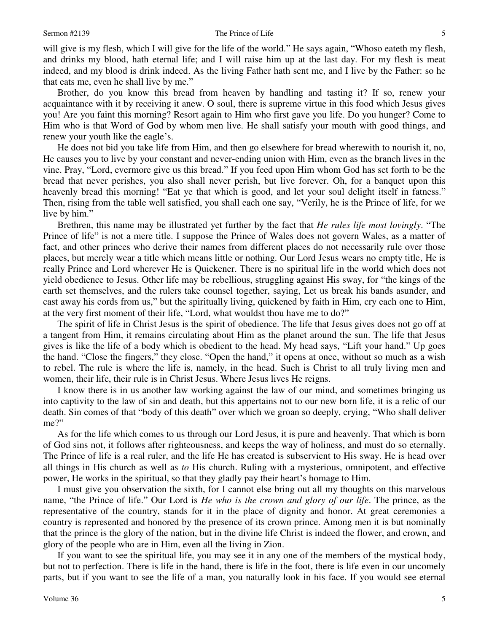will give is my flesh, which I will give for the life of the world." He says again, "Whoso eateth my flesh, and drinks my blood, hath eternal life; and I will raise him up at the last day. For my flesh is meat indeed, and my blood is drink indeed. As the living Father hath sent me, and I live by the Father: so he that eats me, even he shall live by me."

 Brother, do you know this bread from heaven by handling and tasting it? If so, renew your acquaintance with it by receiving it anew. O soul, there is supreme virtue in this food which Jesus gives you! Are you faint this morning? Resort again to Him who first gave you life. Do you hunger? Come to Him who is that Word of God by whom men live. He shall satisfy your mouth with good things, and renew your youth like the eagle's.

 He does not bid you take life from Him, and then go elsewhere for bread wherewith to nourish it, no, He causes you to live by your constant and never-ending union with Him, even as the branch lives in the vine. Pray, "Lord, evermore give us this bread." If you feed upon Him whom God has set forth to be the bread that never perishes, you also shall never perish, but live forever. Oh, for a banquet upon this heavenly bread this morning! "Eat ye that which is good, and let your soul delight itself in fatness." Then, rising from the table well satisfied, you shall each one say, "Verily, he is the Prince of life, for we live by him."

 Brethren, this name may be illustrated yet further by the fact that *He rules life most lovingly*. "The Prince of life" is not a mere title. I suppose the Prince of Wales does not govern Wales, as a matter of fact, and other princes who derive their names from different places do not necessarily rule over those places, but merely wear a title which means little or nothing. Our Lord Jesus wears no empty title, He is really Prince and Lord wherever He is Quickener. There is no spiritual life in the world which does not yield obedience to Jesus. Other life may be rebellious, struggling against His sway, for "the kings of the earth set themselves, and the rulers take counsel together, saying, Let us break his bands asunder, and cast away his cords from us," but the spiritually living, quickened by faith in Him, cry each one to Him, at the very first moment of their life, "Lord, what wouldst thou have me to do?"

 The spirit of life in Christ Jesus is the spirit of obedience. The life that Jesus gives does not go off at a tangent from Him, it remains circulating about Him as the planet around the sun. The life that Jesus gives is like the life of a body which is obedient to the head. My head says, "Lift your hand." Up goes the hand. "Close the fingers," they close. "Open the hand," it opens at once, without so much as a wish to rebel. The rule is where the life is, namely, in the head. Such is Christ to all truly living men and women, their life, their rule is in Christ Jesus. Where Jesus lives He reigns.

 I know there is in us another law working against the law of our mind, and sometimes bringing us into captivity to the law of sin and death, but this appertains not to our new born life, it is a relic of our death. Sin comes of that "body of this death" over which we groan so deeply, crying, "Who shall deliver me?"

 As for the life which comes to us through our Lord Jesus, it is pure and heavenly. That which is born of God sins not, it follows after righteousness, and keeps the way of holiness, and must do so eternally. The Prince of life is a real ruler, and the life He has created is subservient to His sway. He is head over all things in His church as well as *to* His church. Ruling with a mysterious, omnipotent, and effective power, He works in the spiritual, so that they gladly pay their heart's homage to Him.

 I must give you observation the sixth, for I cannot else bring out all my thoughts on this marvelous name, "the Prince of life." Our Lord is *He who is the crown and glory of our life*. The prince, as the representative of the country, stands for it in the place of dignity and honor. At great ceremonies a country is represented and honored by the presence of its crown prince. Among men it is but nominally that the prince is the glory of the nation, but in the divine life Christ is indeed the flower, and crown, and glory of the people who are in Him, even all the living in Zion.

 If you want to see the spiritual life, you may see it in any one of the members of the mystical body, but not to perfection. There is life in the hand, there is life in the foot, there is life even in our uncomely parts, but if you want to see the life of a man, you naturally look in his face. If you would see eternal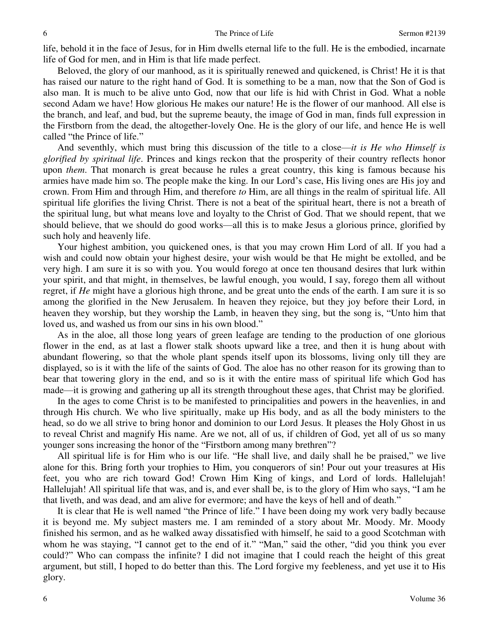life, behold it in the face of Jesus, for in Him dwells eternal life to the full. He is the embodied, incarnate life of God for men, and in Him is that life made perfect.

 Beloved, the glory of our manhood, as it is spiritually renewed and quickened, is Christ! He it is that has raised our nature to the right hand of God. It is something to be a man, now that the Son of God is also man. It is much to be alive unto God, now that our life is hid with Christ in God. What a noble second Adam we have! How glorious He makes our nature! He is the flower of our manhood. All else is the branch, and leaf, and bud, but the supreme beauty, the image of God in man, finds full expression in the Firstborn from the dead, the altogether-lovely One. He is the glory of our life, and hence He is well called "the Prince of life."

 And seventhly, which must bring this discussion of the title to a close—*it is He who Himself is glorified by spiritual life*. Princes and kings reckon that the prosperity of their country reflects honor upon *them*. That monarch is great because he rules a great country, this king is famous because his armies have made him so. The people make the king. In our Lord's case, His living ones are His joy and crown. From Him and through Him, and therefore *to* Him, are all things in the realm of spiritual life. All spiritual life glorifies the living Christ. There is not a beat of the spiritual heart, there is not a breath of the spiritual lung, but what means love and loyalty to the Christ of God. That we should repent, that we should believe, that we should do good works—all this is to make Jesus a glorious prince, glorified by such holy and heavenly life.

 Your highest ambition, you quickened ones, is that you may crown Him Lord of all. If you had a wish and could now obtain your highest desire, your wish would be that He might be extolled, and be very high. I am sure it is so with you. You would forego at once ten thousand desires that lurk within your spirit, and that might, in themselves, be lawful enough, you would, I say, forego them all without regret, if *He* might have a glorious high throne, and be great unto the ends of the earth. I am sure it is so among the glorified in the New Jerusalem. In heaven they rejoice, but they joy before their Lord, in heaven they worship, but they worship the Lamb, in heaven they sing, but the song is, "Unto him that loved us, and washed us from our sins in his own blood."

 As in the aloe, all those long years of green leafage are tending to the production of one glorious flower in the end, as at last a flower stalk shoots upward like a tree, and then it is hung about with abundant flowering, so that the whole plant spends itself upon its blossoms, living only till they are displayed, so is it with the life of the saints of God. The aloe has no other reason for its growing than to bear that towering glory in the end, and so is it with the entire mass of spiritual life which God has made—it is growing and gathering up all its strength throughout these ages, that Christ may be glorified.

 In the ages to come Christ is to be manifested to principalities and powers in the heavenlies, in and through His church. We who live spiritually, make up His body, and as all the body ministers to the head, so do we all strive to bring honor and dominion to our Lord Jesus. It pleases the Holy Ghost in us to reveal Christ and magnify His name. Are we not, all of us, if children of God, yet all of us so many younger sons increasing the honor of the "Firstborn among many brethren"?

 All spiritual life is for Him who is our life. "He shall live, and daily shall he be praised," we live alone for this. Bring forth your trophies to Him, you conquerors of sin! Pour out your treasures at His feet, you who are rich toward God! Crown Him King of kings, and Lord of lords. Hallelujah! Hallelujah! All spiritual life that was, and is, and ever shall be, is to the glory of Him who says, "I am he that liveth, and was dead, and am alive for evermore; and have the keys of hell and of death."

 It is clear that He is well named "the Prince of life." I have been doing my work very badly because it is beyond me. My subject masters me. I am reminded of a story about Mr. Moody. Mr. Moody finished his sermon, and as he walked away dissatisfied with himself, he said to a good Scotchman with whom he was staying, "I cannot get to the end of it." "Man," said the other, "did you think you ever could?" Who can compass the infinite? I did not imagine that I could reach the height of this great argument, but still, I hoped to do better than this. The Lord forgive my feebleness, and yet use it to His glory.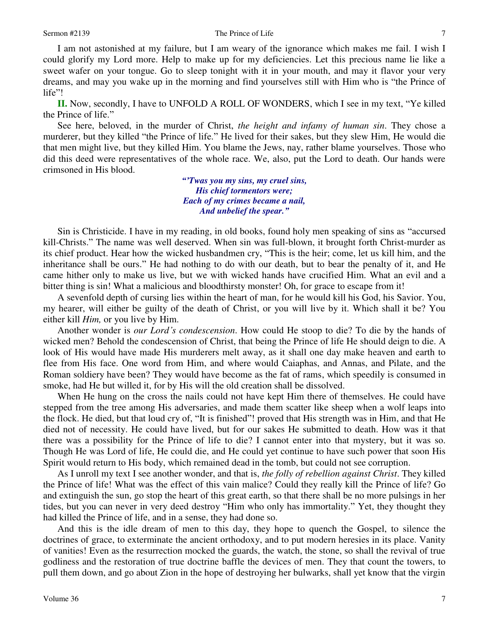#### Sermon #2139 The Prince of Life

 I am not astonished at my failure, but I am weary of the ignorance which makes me fail. I wish I could glorify my Lord more. Help to make up for my deficiencies. Let this precious name lie like a sweet wafer on your tongue. Go to sleep tonight with it in your mouth, and may it flavor your very dreams, and may you wake up in the morning and find yourselves still with Him who is "the Prince of life"!

**II.** Now, secondly, I have to UNFOLD A ROLL OF WONDERS, which I see in my text, "Ye killed the Prince of life."

 See here, beloved, in the murder of Christ, *the height and infamy of human sin*. They chose a murderer, but they killed "the Prince of life." He lived for their sakes, but they slew Him, He would die that men might live, but they killed Him. You blame the Jews, nay, rather blame yourselves. Those who did this deed were representatives of the whole race. We, also, put the Lord to death. Our hands were crimsoned in His blood.

> *"'Twas you my sins, my cruel sins, His chief tormentors were; Each of my crimes became a nail, And unbelief the spear."*

Sin is Christicide. I have in my reading, in old books, found holy men speaking of sins as "accursed kill-Christs." The name was well deserved. When sin was full-blown, it brought forth Christ-murder as its chief product. Hear how the wicked husbandmen cry, "This is the heir; come, let us kill him, and the inheritance shall be ours." He had nothing to do with our death, but to bear the penalty of it, and He came hither only to make us live, but we with wicked hands have crucified Him. What an evil and a bitter thing is sin! What a malicious and bloodthirsty monster! Oh, for grace to escape from it!

 A sevenfold depth of cursing lies within the heart of man, for he would kill his God, his Savior. You, my hearer, will either be guilty of the death of Christ, or you will live by it. Which shall it be? You either kill *Him,* or you live by Him.

 Another wonder is *our Lord's condescension*. How could He stoop to die? To die by the hands of wicked men? Behold the condescension of Christ, that being the Prince of life He should deign to die. A look of His would have made His murderers melt away, as it shall one day make heaven and earth to flee from His face. One word from Him, and where would Caiaphas, and Annas, and Pilate, and the Roman soldiery have been? They would have become as the fat of rams, which speedily is consumed in smoke, had He but willed it, for by His will the old creation shall be dissolved.

 When He hung on the cross the nails could not have kept Him there of themselves. He could have stepped from the tree among His adversaries, and made them scatter like sheep when a wolf leaps into the flock. He died, but that loud cry of, "It is finished"! proved that His strength was in Him, and that He died not of necessity. He could have lived, but for our sakes He submitted to death. How was it that there was a possibility for the Prince of life to die? I cannot enter into that mystery, but it was so. Though He was Lord of life, He could die, and He could yet continue to have such power that soon His Spirit would return to His body, which remained dead in the tomb, but could not see corruption.

 As I unroll my text I see another wonder, and that is, *the folly of rebellion against Christ*. They killed the Prince of life! What was the effect of this vain malice? Could they really kill the Prince of life? Go and extinguish the sun, go stop the heart of this great earth, so that there shall be no more pulsings in her tides, but you can never in very deed destroy "Him who only has immortality." Yet, they thought they had killed the Prince of life, and in a sense, they had done so.

 And this is the idle dream of men to this day, they hope to quench the Gospel, to silence the doctrines of grace, to exterminate the ancient orthodoxy, and to put modern heresies in its place. Vanity of vanities! Even as the resurrection mocked the guards, the watch, the stone, so shall the revival of true godliness and the restoration of true doctrine baffle the devices of men. They that count the towers, to pull them down, and go about Zion in the hope of destroying her bulwarks, shall yet know that the virgin

7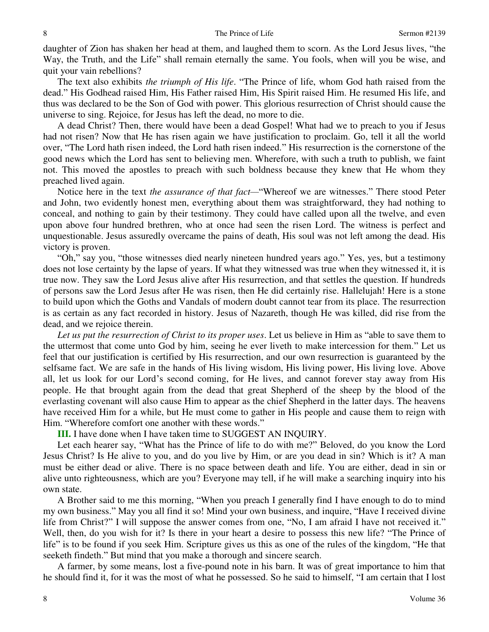daughter of Zion has shaken her head at them, and laughed them to scorn. As the Lord Jesus lives, "the Way, the Truth, and the Life" shall remain eternally the same. You fools, when will you be wise, and quit your vain rebellions?

 The text also exhibits *the triumph of His life*. "The Prince of life, whom God hath raised from the dead." His Godhead raised Him, His Father raised Him, His Spirit raised Him. He resumed His life, and thus was declared to be the Son of God with power. This glorious resurrection of Christ should cause the universe to sing. Rejoice, for Jesus has left the dead, no more to die.

 A dead Christ? Then, there would have been a dead Gospel! What had we to preach to you if Jesus had not risen? Now that He has risen again we have justification to proclaim. Go, tell it all the world over, "The Lord hath risen indeed, the Lord hath risen indeed." His resurrection is the cornerstone of the good news which the Lord has sent to believing men. Wherefore, with such a truth to publish, we faint not. This moved the apostles to preach with such boldness because they knew that He whom they preached lived again.

Notice here in the text *the assurance of that fact*—"Whereof we are witnesses." There stood Peter and John, two evidently honest men, everything about them was straightforward, they had nothing to conceal, and nothing to gain by their testimony. They could have called upon all the twelve, and even upon above four hundred brethren, who at once had seen the risen Lord. The witness is perfect and unquestionable. Jesus assuredly overcame the pains of death, His soul was not left among the dead. His victory is proven.

"Oh," say you, "those witnesses died nearly nineteen hundred years ago." Yes, yes, but a testimony does not lose certainty by the lapse of years. If what they witnessed was true when they witnessed it, it is true now. They saw the Lord Jesus alive after His resurrection, and that settles the question. If hundreds of persons saw the Lord Jesus after He was risen, then He did certainly rise. Hallelujah! Here is a stone to build upon which the Goths and Vandals of modern doubt cannot tear from its place. The resurrection is as certain as any fact recorded in history. Jesus of Nazareth, though He was killed, did rise from the dead, and we rejoice therein.

*Let us put the resurrection of Christ to its proper uses*. Let us believe in Him as "able to save them to the uttermost that come unto God by him, seeing he ever liveth to make intercession for them." Let us feel that our justification is certified by His resurrection, and our own resurrection is guaranteed by the selfsame fact. We are safe in the hands of His living wisdom, His living power, His living love. Above all, let us look for our Lord's second coming, for He lives, and cannot forever stay away from His people. He that brought again from the dead that great Shepherd of the sheep by the blood of the everlasting covenant will also cause Him to appear as the chief Shepherd in the latter days. The heavens have received Him for a while, but He must come to gather in His people and cause them to reign with Him. "Wherefore comfort one another with these words."

**III.** I have done when I have taken time to SUGGEST AN INQUIRY.

 Let each hearer say, "What has the Prince of life to do with me?" Beloved, do you know the Lord Jesus Christ? Is He alive to you, and do you live by Him, or are you dead in sin? Which is it? A man must be either dead or alive. There is no space between death and life. You are either, dead in sin or alive unto righteousness, which are you? Everyone may tell, if he will make a searching inquiry into his own state.

 A Brother said to me this morning, "When you preach I generally find I have enough to do to mind my own business." May you all find it so! Mind your own business, and inquire, "Have I received divine life from Christ?" I will suppose the answer comes from one, "No, I am afraid I have not received it." Well, then, do you wish for it? Is there in your heart a desire to possess this new life? "The Prince of life" is to be found if you seek Him. Scripture gives us this as one of the rules of the kingdom, "He that seeketh findeth." But mind that you make a thorough and sincere search.

 A farmer, by some means, lost a five-pound note in his barn. It was of great importance to him that he should find it, for it was the most of what he possessed. So he said to himself, "I am certain that I lost